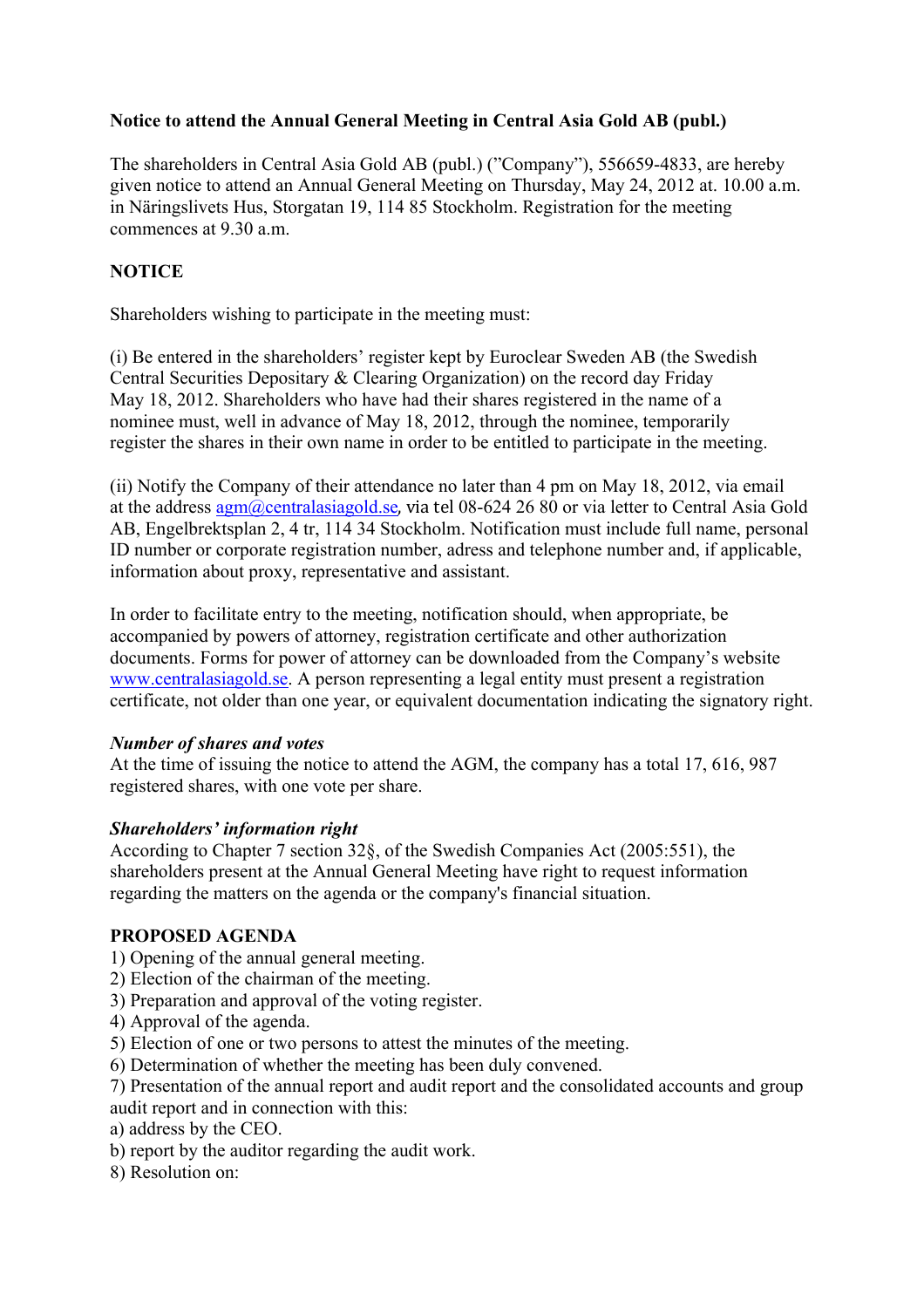## **Notice to attend the Annual General Meeting in Central Asia Gold AB (publ.)**

The shareholders in Central Asia Gold AB (publ.) ("Company"), 556659-4833, are hereby given notice to attend an Annual General Meeting on Thursday, May 24, 2012 at. 10.00 a.m. in Näringslivets Hus, Storgatan 19, 114 85 Stockholm. Registration for the meeting commences at 9.30 a.m.

## **NOTICE**

Shareholders wishing to participate in the meeting must:

(i) Be entered in the shareholders' register kept by Euroclear Sweden AB (the Swedish Central Securities Depositary & Clearing Organization) on the record day Friday May 18, 2012. Shareholders who have had their shares registered in the name of a nominee must, well in advance of May 18, 2012, through the nominee, temporarily register the shares in their own name in order to be entitled to participate in the meeting.

(ii) Notify the Company of their attendance no later than 4 pm on May 18, 2012, via email at the address  $\frac{agm@centrala siagold.se}{a}$ , via tel 08-624 26 80 or via letter to Central Asia Gold AB, Engelbrektsplan 2, 4 tr, 114 34 Stockholm. Notification must include full name, personal ID number or corporate registration number, adress and telephone number and, if applicable, information about proxy, representative and assistant.

In order to facilitate entry to the meeting, notification should, when appropriate, be accompanied by powers of attorney, registration certificate and other authorization documents. Forms for power of attorney can be downloaded from the Company's website www.centralasiagold.se. A person representing a legal entity must present a registration certificate, not older than one year, or equivalent documentation indicating the signatory right.

#### *Number of shares and votes*

At the time of issuing the notice to attend the AGM, the company has a total 17, 616, 987 registered shares, with one vote per share.

### *Shareholders' information right*

According to Chapter 7 section 32§, of the Swedish Companies Act (2005:551), the shareholders present at the Annual General Meeting have right to request information regarding the matters on the agenda or the company's financial situation.

### **PROPOSED AGENDA**

- 1) Opening of the annual general meeting.
- 2) Election of the chairman of the meeting.
- 3) Preparation and approval of the voting register.
- 4) Approval of the agenda.
- 5) Election of one or two persons to attest the minutes of the meeting.
- 6) Determination of whether the meeting has been duly convened.
- 7) Presentation of the annual report and audit report and the consolidated accounts and group audit report and in connection with this:
- a) address by the CEO.
- b) report by the auditor regarding the audit work.
- 8) Resolution on: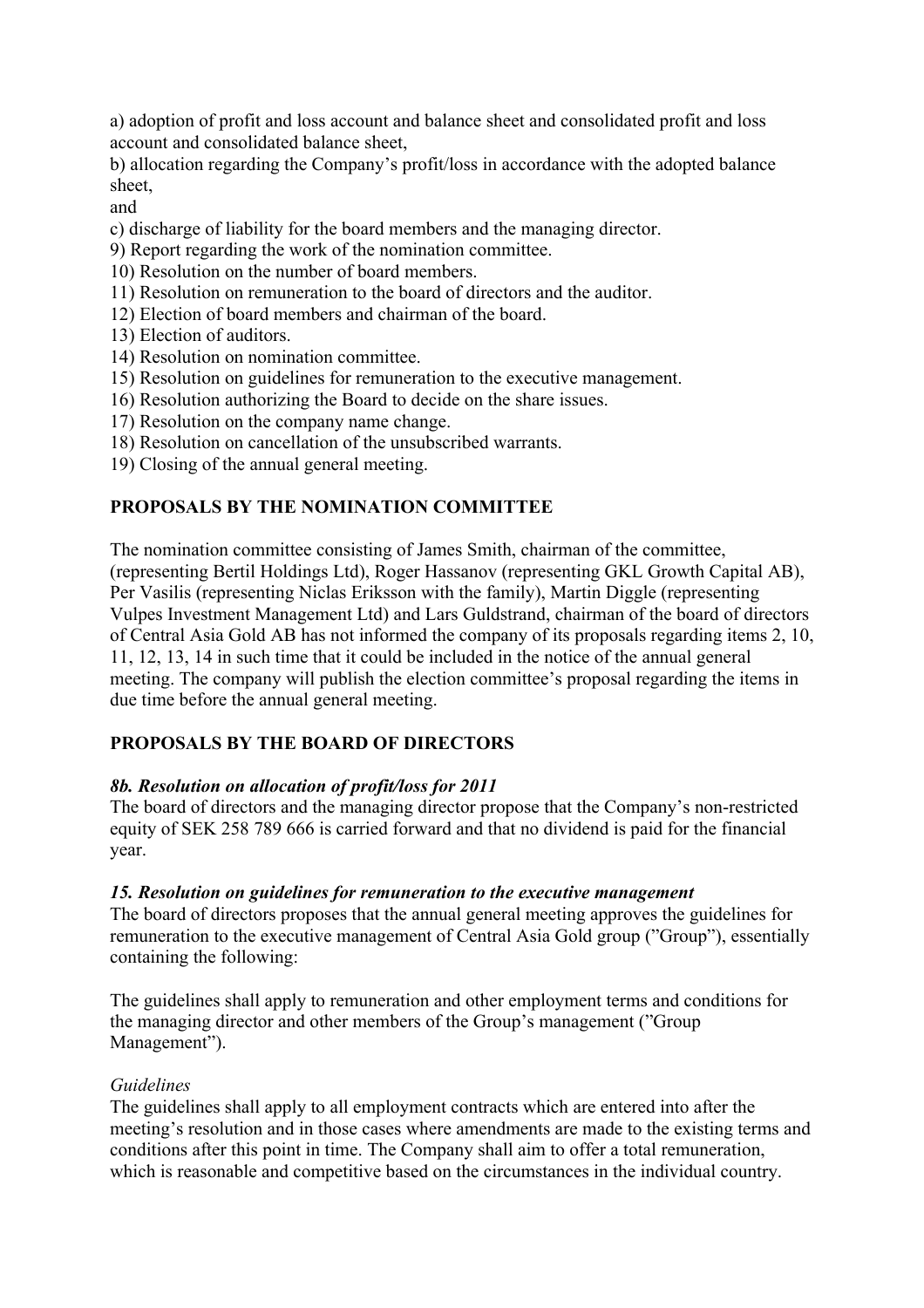a) adoption of profit and loss account and balance sheet and consolidated profit and loss account and consolidated balance sheet,

b) allocation regarding the Company's profit/loss in accordance with the adopted balance sheet,

and

c) discharge of liability for the board members and the managing director.

9) Report regarding the work of the nomination committee.

10) Resolution on the number of board members.

- 11) Resolution on remuneration to the board of directors and the auditor.
- 12) Election of board members and chairman of the board.
- 13) Election of auditors.
- 14) Resolution on nomination committee.
- 15) Resolution on guidelines for remuneration to the executive management.
- 16) Resolution authorizing the Board to decide on the share issues.
- 17) Resolution on the company name change.
- 18) Resolution on cancellation of the unsubscribed warrants.
- 19) Closing of the annual general meeting.

# **PROPOSALS BY THE NOMINATION COMMITTEE**

The nomination committee consisting of James Smith, chairman of the committee, (representing Bertil Holdings Ltd), Roger Hassanov (representing GKL Growth Capital AB), Per Vasilis (representing Niclas Eriksson with the family), Martin Diggle (representing Vulpes Investment Management Ltd) and Lars Guldstrand, chairman of the board of directors of Central Asia Gold AB has not informed the company of its proposals regarding items 2, 10, 11, 12, 13, 14 in such time that it could be included in the notice of the annual general meeting. The company will publish the election committee's proposal regarding the items in due time before the annual general meeting.

## **PROPOSALS BY THE BOARD OF DIRECTORS**

## *8b. Resolution on allocation of profit/loss for 2011*

The board of directors and the managing director propose that the Company's non-restricted equity of SEK 258 789 666 is carried forward and that no dividend is paid for the financial year.

### *15. Resolution on guidelines for remuneration to the executive management*

The board of directors proposes that the annual general meeting approves the guidelines for remuneration to the executive management of Central Asia Gold group ("Group"), essentially containing the following:

The guidelines shall apply to remuneration and other employment terms and conditions for the managing director and other members of the Group's management ("Group Management").

## *Guidelines*

The guidelines shall apply to all employment contracts which are entered into after the meeting's resolution and in those cases where amendments are made to the existing terms and conditions after this point in time. The Company shall aim to offer a total remuneration, which is reasonable and competitive based on the circumstances in the individual country.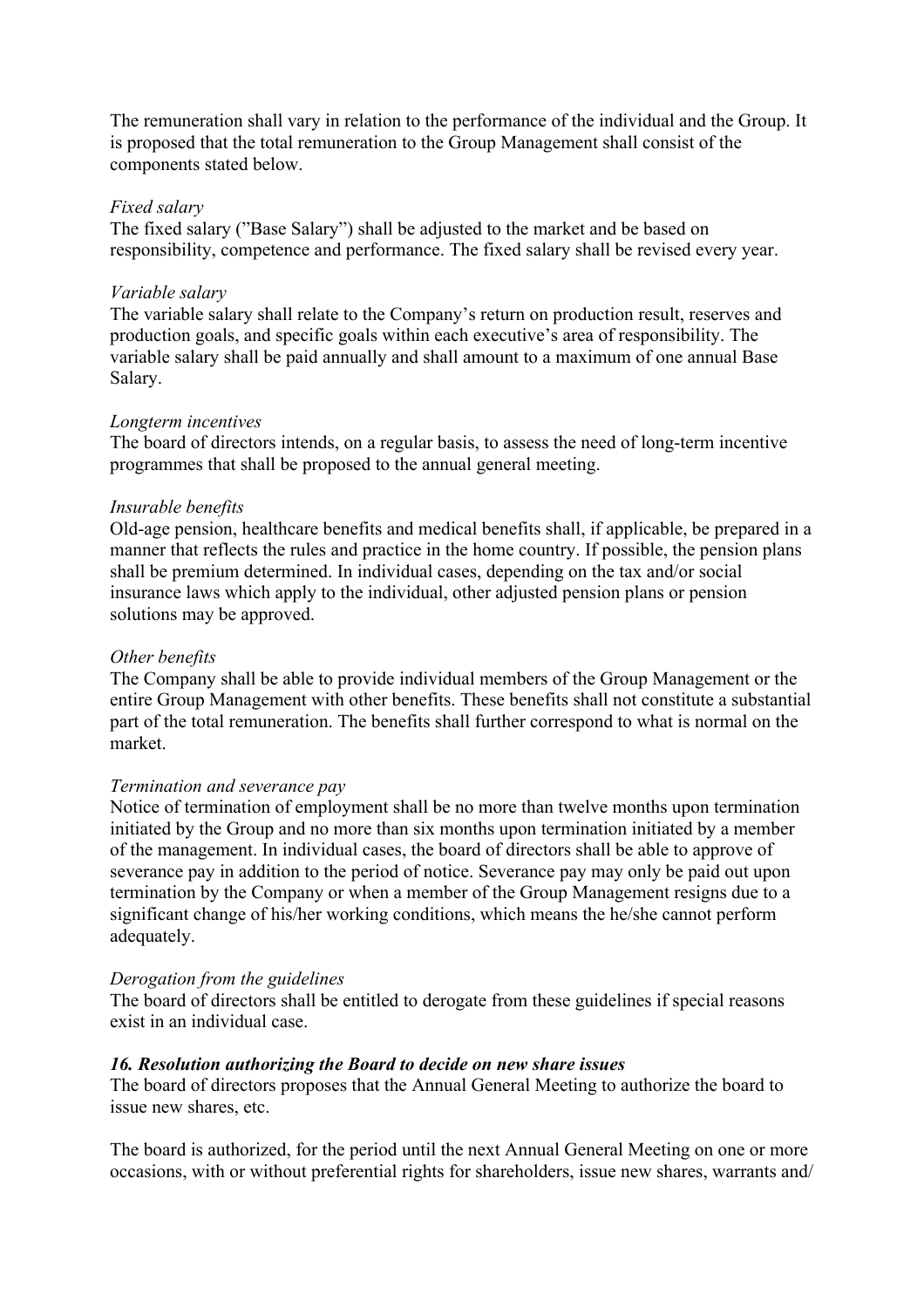The remuneration shall vary in relation to the performance of the individual and the Group. It is proposed that the total remuneration to the Group Management shall consist of the components stated below.

#### *Fixed salary*

The fixed salary ("Base Salary") shall be adjusted to the market and be based on responsibility, competence and performance. The fixed salary shall be revised every year.

#### *Variable salary*

The variable salary shall relate to the Company's return on production result, reserves and production goals, and specific goals within each executive's area of responsibility. The variable salary shall be paid annually and shall amount to a maximum of one annual Base Salary.

#### *Longterm incentives*

The board of directors intends, on a regular basis, to assess the need of long-term incentive programmes that shall be proposed to the annual general meeting.

#### *Insurable benefits*

Old-age pension, healthcare benefits and medical benefits shall, if applicable, be prepared in a manner that reflects the rules and practice in the home country. If possible, the pension plans shall be premium determined. In individual cases, depending on the tax and/or social insurance laws which apply to the individual, other adjusted pension plans or pension solutions may be approved.

#### *Other benefits*

The Company shall be able to provide individual members of the Group Management or the entire Group Management with other benefits. These benefits shall not constitute a substantial part of the total remuneration. The benefits shall further correspond to what is normal on the market.

#### *Termination and severance pay*

Notice of termination of employment shall be no more than twelve months upon termination initiated by the Group and no more than six months upon termination initiated by a member of the management. In individual cases, the board of directors shall be able to approve of severance pay in addition to the period of notice. Severance pay may only be paid out upon termination by the Company or when a member of the Group Management resigns due to a significant change of his/her working conditions, which means the he/she cannot perform adequately.

#### *Derogation from the guidelines*

The board of directors shall be entitled to derogate from these guidelines if special reasons exist in an individual case.

#### *16. Resolution authorizing the Board to decide on new share issues*

The board of directors proposes that the Annual General Meeting to authorize the board to issue new shares, etc.

The board is authorized, for the period until the next Annual General Meeting on one or more occasions, with or without preferential rights for shareholders, issue new shares, warrants and/